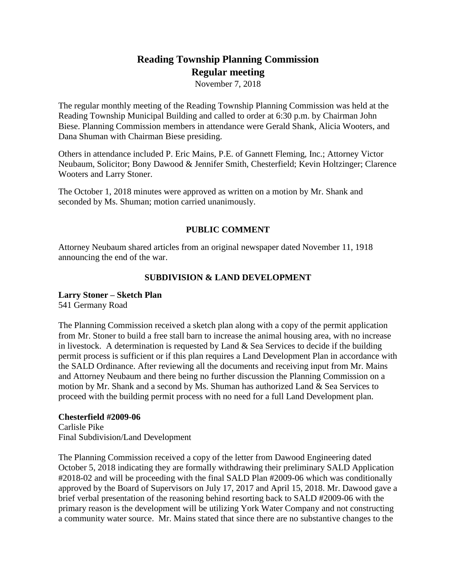# **Reading Township Planning Commission Regular meeting**

November 7, 2018

The regular monthly meeting of the Reading Township Planning Commission was held at the Reading Township Municipal Building and called to order at 6:30 p.m. by Chairman John Biese. Planning Commission members in attendance were Gerald Shank, Alicia Wooters, and Dana Shuman with Chairman Biese presiding.

Others in attendance included P. Eric Mains, P.E. of Gannett Fleming, Inc.; Attorney Victor Neubaum, Solicitor; Bony Dawood & Jennifer Smith, Chesterfield; Kevin Holtzinger; Clarence Wooters and Larry Stoner.

The October 1, 2018 minutes were approved as written on a motion by Mr. Shank and seconded by Ms. Shuman; motion carried unanimously.

## **PUBLIC COMMENT**

Attorney Neubaum shared articles from an original newspaper dated November 11, 1918 announcing the end of the war.

## **SUBDIVISION & LAND DEVELOPMENT**

#### **Larry Stoner – Sketch Plan**

541 Germany Road

The Planning Commission received a sketch plan along with a copy of the permit application from Mr. Stoner to build a free stall barn to increase the animal housing area, with no increase in livestock. A determination is requested by Land  $\&$  Sea Services to decide if the building permit process is sufficient or if this plan requires a Land Development Plan in accordance with the SALD Ordinance. After reviewing all the documents and receiving input from Mr. Mains and Attorney Neubaum and there being no further discussion the Planning Commission on a motion by Mr. Shank and a second by Ms. Shuman has authorized Land & Sea Services to proceed with the building permit process with no need for a full Land Development plan.

#### **Chesterfield #2009-06**

Carlisle Pike Final Subdivision/Land Development

The Planning Commission received a copy of the letter from Dawood Engineering dated October 5, 2018 indicating they are formally withdrawing their preliminary SALD Application #2018-02 and will be proceeding with the final SALD Plan #2009-06 which was conditionally approved by the Board of Supervisors on July 17, 2017 and April 15, 2018. Mr. Dawood gave a brief verbal presentation of the reasoning behind resorting back to SALD #2009-06 with the primary reason is the development will be utilizing York Water Company and not constructing a community water source. Mr. Mains stated that since there are no substantive changes to the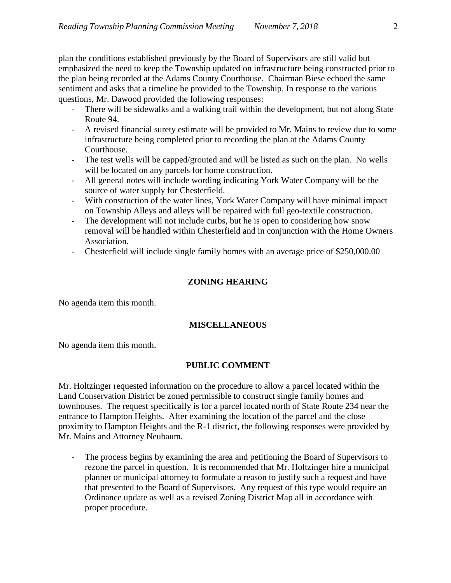plan the conditions established previously by the Board of Supervisors are still valid but emphasized the need to keep the Township updated on infrastructure being constructed prior to the plan being recorded at the Adams County Courthouse. Chairman Biese echoed the same sentiment and asks that a timeline be provided to the Township. In response to the various questions, Mr. Dawood provided the following responses:

- There will be sidewalks and a walking trail within the development, but not along State Route 94.
- A revised financial surety estimate will be provided to Mr. Mains to review due to some infrastructure being completed prior to recording the plan at the Adams County Courthouse.
- The test wells will be capped/grouted and will be listed as such on the plan. No wells will be located on any parcels for home construction.
- All general notes will include wording indicating York Water Company will be the source of water supply for Chesterfield.
- With construction of the water lines, York Water Company will have minimal impact on Township Alleys and alleys will be repaired with full geo-textile construction.
- The development will not include curbs, but he is open to considering how snow removal will be handled within Chesterfield and in conjunction with the Home Owners Association.
- Chesterfield will include single family homes with an average price of \$250,000.00

## **ZONING HEARING**

No agenda item this month.

## **MISCELLANEOUS**

No agenda item this month.

## **PUBLIC COMMENT**

Mr. Holtzinger requested information on the procedure to allow a parcel located within the Land Conservation District be zoned permissible to construct single family homes and townhouses. The request specifically is for a parcel located north of State Route 234 near the entrance to Hampton Heights. After examining the location of the parcel and the close proximity to Hampton Heights and the R-1 district, the following responses were provided by Mr. Mains and Attorney Neubaum.

The process begins by examining the area and petitioning the Board of Supervisors to rezone the parcel in question. It is recommended that Mr. Holtzinger hire a municipal planner or municipal attorney to formulate a reason to justify such a request and have that presented to the Board of Supervisors. Any request of this type would require an Ordinance update as well as a revised Zoning District Map all in accordance with proper procedure.